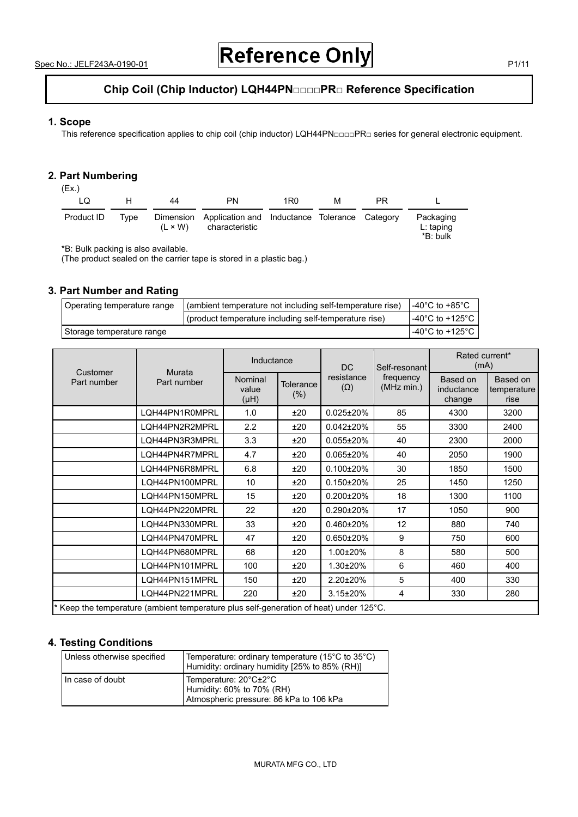# **Chip Coil (Chip Inductor) LQH44PN□□□□PR□ Reference Specification**

# **1. Scope**

This reference specification applies to chip coil (chip inductor) LQH44PN□□□□PR□ series for general electronic equipment.

#### **2. Part Numbering**   $(FY)$

| (C.X.)<br>LQ | н.   | 44             | <b>PN</b>                                                                 | 1R0 | м | PR. |                                      |
|--------------|------|----------------|---------------------------------------------------------------------------|-----|---|-----|--------------------------------------|
| Product ID   | Tvpe | $(L \times W)$ | Dimension Application and Inductance Tolerance Category<br>characteristic |     |   |     | Packaging<br>$L:$ taping<br>*B: bulk |

\*B: Bulk packing is also available.

(The product sealed on the carrier tape is stored in a plastic bag.)

## **3. Part Number and Rating**

| Operating temperature range | (ambient temperature not including self-temperature rise) | $-40^{\circ}$ C to $+85^{\circ}$ C |
|-----------------------------|-----------------------------------------------------------|------------------------------------|
|                             | (product temperature including self-temperature rise)     | l -40°C to +125°C .                |
| Storage temperature range   |                                                           | l -40°C to +125°C                  |

|                                                                                        | Murata<br>Part number | Inductance               |                      | <b>DC</b>                | Self-resonant<br>frequency<br>(MHz min.) | Rated current*<br>(mA)           |                                 |
|----------------------------------------------------------------------------------------|-----------------------|--------------------------|----------------------|--------------------------|------------------------------------------|----------------------------------|---------------------------------|
| Customer<br>Part number                                                                |                       | Nominal<br>value<br>(HH) | Tolerance<br>$(\% )$ | resistance<br>$(\Omega)$ |                                          | Based on<br>inductance<br>change | Based on<br>temperature<br>rise |
|                                                                                        | LQH44PN1R0MPRL        | 1.0                      | ±20                  | $0.025 \pm 20\%$         | 85                                       | 4300                             | 3200                            |
|                                                                                        | LQH44PN2R2MPRL        | 2.2                      | ±20                  | $0.042 \pm 20\%$         | 55                                       | 3300                             | 2400                            |
|                                                                                        | LQH44PN3R3MPRL        | 3.3                      | ±20                  | $0.055 \pm 20\%$         | 40                                       | 2300                             | 2000                            |
|                                                                                        | LQH44PN4R7MPRL        | 4.7                      | ±20                  | $0.065 \pm 20\%$         | 40                                       | 2050                             | 1900                            |
|                                                                                        | LQH44PN6R8MPRL        | 6.8                      | ±20                  | $0.100 \pm 20\%$         | 30                                       | 1850                             | 1500                            |
|                                                                                        | LOH44PN100MPRL        | 10                       | ±20                  | $0.150 \pm 20\%$         | 25                                       | 1450                             | 1250                            |
|                                                                                        | LQH44PN150MPRL        | 15                       | ±20                  | $0.200 \pm 20\%$         | 18                                       | 1300                             | 1100                            |
|                                                                                        | LQH44PN220MPRL        | 22                       | ±20                  | $0.290 \pm 20\%$         | 17                                       | 1050                             | 900                             |
|                                                                                        | LQH44PN330MPRL        | 33                       | ±20                  | $0.460 \pm 20\%$         | 12                                       | 880                              | 740                             |
|                                                                                        | LQH44PN470MPRL        | 47                       | ±20                  | $0.650 \pm 20\%$         | 9                                        | 750                              | 600                             |
|                                                                                        | LQH44PN680MPRL        | 68                       | ±20                  | 1.00±20%                 | 8                                        | 580                              | 500                             |
|                                                                                        | LQH44PN101MPRL        | 100                      | ±20                  | 1.30±20%                 | 6                                        | 460                              | 400                             |
|                                                                                        | LQH44PN151MPRL        | 150                      | ±20                  | 2.20±20%                 | 5                                        | 400                              | 330                             |
|                                                                                        | LQH44PN221MPRL        | 220                      | ±20                  | $3.15 \pm 20\%$          | 4                                        | 330                              | 280                             |
| * Keep the temperature (ambient temperature plus self-generation of heat) under 125°C. |                       |                          |                      |                          |                                          |                                  |                                 |

# **4. Testing Conditions**

| Unless otherwise specified | Temperature: ordinary temperature (15 $^{\circ}$ C to 35 $^{\circ}$ C)<br>Humidity: ordinary humidity [25% to 85% (RH)] |
|----------------------------|-------------------------------------------------------------------------------------------------------------------------|
| In case of doubt           | Temperature: 20°C±2°C<br>Humidity: 60% to 70% (RH)<br>Atmospheric pressure: 86 kPa to 106 kPa                           |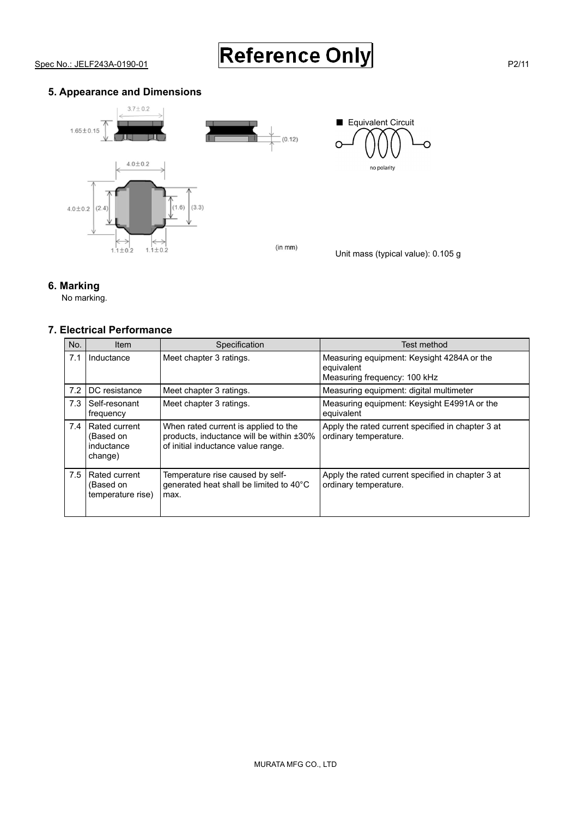# **5. Appearance and Dimensions**



Unit mass (typical value): 0.105 g

Ő

■ Equivalent Circuit

no polarity

 $\overline{C}$ 

# **6. Marking**

No marking.

# **7. Electrical Performance**

| No. | <b>Item</b>                                         | Specification                                                                                                          | Test method                                                                              |
|-----|-----------------------------------------------------|------------------------------------------------------------------------------------------------------------------------|------------------------------------------------------------------------------------------|
| 7.1 | Inductance                                          | Meet chapter 3 ratings.                                                                                                | Measuring equipment: Keysight 4284A or the<br>equivalent<br>Measuring frequency: 100 kHz |
| 7.2 | DC resistance                                       | Meet chapter 3 ratings.                                                                                                | Measuring equipment: digital multimeter                                                  |
| 7.3 | Self-resonant<br>frequency                          | Meet chapter 3 ratings.                                                                                                | Measuring equipment: Keysight E4991A or the<br>equivalent                                |
| 7.4 | Rated current<br>(Based on<br>inductance<br>change) | When rated current is applied to the<br>products, inductance will be within ±30%<br>of initial inductance value range. | Apply the rated current specified in chapter 3 at<br>ordinary temperature.               |
| 7.5 | Rated current<br>(Based on<br>temperature rise)     | Temperature rise caused by self-<br>generated heat shall be limited to 40°C<br>max.                                    | Apply the rated current specified in chapter 3 at<br>ordinary temperature.               |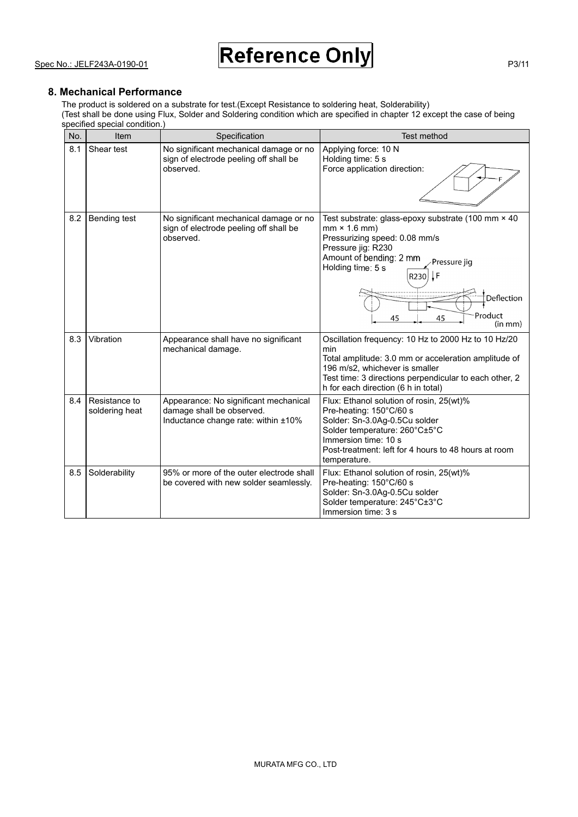## **8. Mechanical Performance**

The product is soldered on a substrate for test.(Except Resistance to soldering heat, Solderability)

(Test shall be done using Flux, Solder and Soldering condition which are specified in chapter 12 except the case of being specified special condition.)

| No. | Item                            | Specification                                                                                             | Test method                                                                                                                                                                                                                                                |
|-----|---------------------------------|-----------------------------------------------------------------------------------------------------------|------------------------------------------------------------------------------------------------------------------------------------------------------------------------------------------------------------------------------------------------------------|
| 8.1 | Shear test                      | No significant mechanical damage or no<br>sign of electrode peeling off shall be<br>observed.             | Applying force: 10 N<br>Holding time: 5 s<br>Force application direction:                                                                                                                                                                                  |
| 8.2 | Bending test                    | No significant mechanical damage or no<br>sign of electrode peeling off shall be<br>observed.             | Test substrate: glass-epoxy substrate (100 mm × 40<br>$mm \times 1.6 mm)$<br>Pressurizing speed: 0.08 mm/s<br>Pressure jig: R230<br>Amount of bending: 2 mm<br>Pressure jig<br>Holding time: 5 s<br>R230 F<br>Deflection<br>Product<br>45<br>45<br>(in mm) |
| 8.3 | Vibration                       | Appearance shall have no significant<br>mechanical damage.                                                | Oscillation frequency: 10 Hz to 2000 Hz to 10 Hz/20<br>min<br>Total amplitude: 3.0 mm or acceleration amplitude of<br>196 m/s2, whichever is smaller<br>Test time: 3 directions perpendicular to each other, 2<br>h for each direction (6 h in total)      |
| 8.4 | Resistance to<br>soldering heat | Appearance: No significant mechanical<br>damage shall be observed.<br>Inductance change rate: within ±10% | Flux: Ethanol solution of rosin, 25(wt)%<br>Pre-heating: 150°C/60 s<br>Solder: Sn-3.0Ag-0.5Cu solder<br>Solder temperature: 260°C±5°C<br>Immersion time: 10 s<br>Post-treatment: left for 4 hours to 48 hours at room<br>temperature.                      |
| 8.5 | Solderability                   | 95% or more of the outer electrode shall<br>be covered with new solder seamlessly.                        | Flux: Ethanol solution of rosin, 25(wt)%<br>Pre-heating: 150°C/60 s<br>Solder: Sn-3.0Ag-0.5Cu solder<br>Solder temperature: 245°C±3°C<br>Immersion time: 3 s                                                                                               |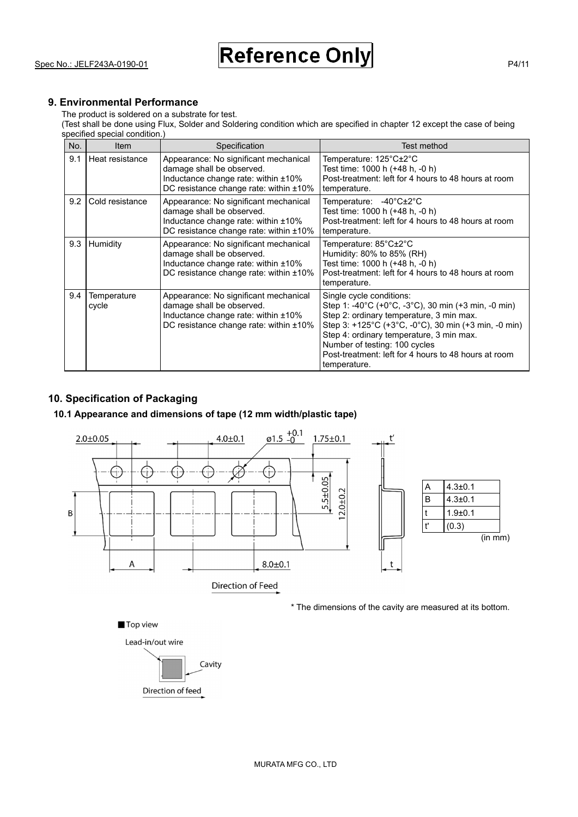# **9. Environmental Performance**

The product is soldered on a substrate for test.

(Test shall be done using Flux, Solder and Soldering condition which are specified in chapter 12 except the case of being specified special condition.)

| No. | <b>Item</b>          | Specification                                                                                                                                          | Test method                                                                                                                                                                                                                                                                                                                                                                  |
|-----|----------------------|--------------------------------------------------------------------------------------------------------------------------------------------------------|------------------------------------------------------------------------------------------------------------------------------------------------------------------------------------------------------------------------------------------------------------------------------------------------------------------------------------------------------------------------------|
| 9.1 | Heat resistance      | Appearance: No significant mechanical<br>damage shall be observed.<br>Inductance change rate: within ±10%<br>DC resistance change rate: within ±10%    | Temperature: 125°C±2°C<br>Test time: 1000 h (+48 h, -0 h)<br>Post-treatment: left for 4 hours to 48 hours at room<br>temperature.                                                                                                                                                                                                                                            |
| 9.2 | Cold resistance      | Appearance: No significant mechanical<br>damage shall be observed.<br>Inductance change rate: within ±10%<br>DC resistance change rate: within ±10%    | Temperature: -40°C±2°C<br>Test time: 1000 h (+48 h, -0 h)<br>Post-treatment: left for 4 hours to 48 hours at room<br>temperature.                                                                                                                                                                                                                                            |
| 9.3 | Humidity             | Appearance: No significant mechanical<br>damage shall be observed.<br>Inductance change rate: within ±10%<br>DC resistance change rate: within ±10%    | Temperature: 85°C±2°C<br>Humidity: 80% to 85% (RH)<br>Test time: 1000 h (+48 h, -0 h)<br>Post-treatment: left for 4 hours to 48 hours at room<br>temperature.                                                                                                                                                                                                                |
| 9.4 | Temperature<br>cycle | Appearance: No significant mechanical<br>damage shall be observed.<br>Inductance change rate: within ±10%<br>DC resistance change rate: within $±10\%$ | Single cycle conditions:<br>Step 1: -40°C (+0°C, -3°C), 30 min (+3 min, -0 min)<br>Step 2: ordinary temperature, 3 min max.<br>Step 3: $+125^{\circ}$ C ( $+3^{\circ}$ C, $-0^{\circ}$ C), 30 min ( $+3$ min, $-0$ min)<br>Step 4: ordinary temperature, 3 min max.<br>Number of testing: 100 cycles<br>Post-treatment: left for 4 hours to 48 hours at room<br>temperature. |

# **10. Specification of Packaging**

# **10.1 Appearance and dimensions of tape (12 mm width/plastic tape)**



\* The dimensions of the cavity are measured at its bottom.

Top view

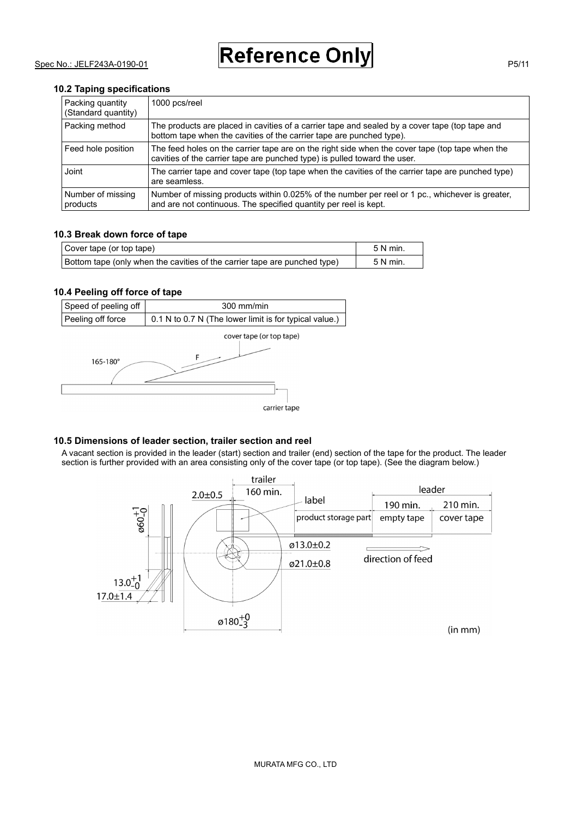#### **10.2 Taping specifications**

| Packing quantity<br>(Standard quantity) | 1000 pcs/reel                                                                                                                                                                |
|-----------------------------------------|------------------------------------------------------------------------------------------------------------------------------------------------------------------------------|
| Packing method                          | The products are placed in cavities of a carrier tape and sealed by a cover tape (top tape and<br>bottom tape when the cavities of the carrier tape are punched type).       |
| Feed hole position                      | The feed holes on the carrier tape are on the right side when the cover tape (top tape when the<br>cavities of the carrier tape are punched type) is pulled toward the user. |
| Joint                                   | The carrier tape and cover tape (top tape when the cavities of the carrier tape are punched type)<br>are seamless.                                                           |
| Number of missing<br>products           | Number of missing products within 0.025% of the number per reel or 1 pc., whichever is greater,<br>and are not continuous. The specified quantity per reel is kept.          |

#### **10.3 Break down force of tape**

| Cover tape (or top tape)                                                  | 5 N min  |
|---------------------------------------------------------------------------|----------|
| Bottom tape (only when the cavities of the carrier tape are punched type) | 5 N min. |

## **10.4 Peeling off force of tape**

| Speed of peeling off | $300$ mm/min                                           |  |
|----------------------|--------------------------------------------------------|--|
| Peeling off force    | 0.1 N to 0.7 N (The lower limit is for typical value.) |  |



# **10.5 Dimensions of leader section, trailer section and reel**

A vacant section is provided in the leader (start) section and trailer (end) section of the tape for the product. The leader section is further provided with an area consisting only of the cover tape (or top tape). (See the diagram below.)

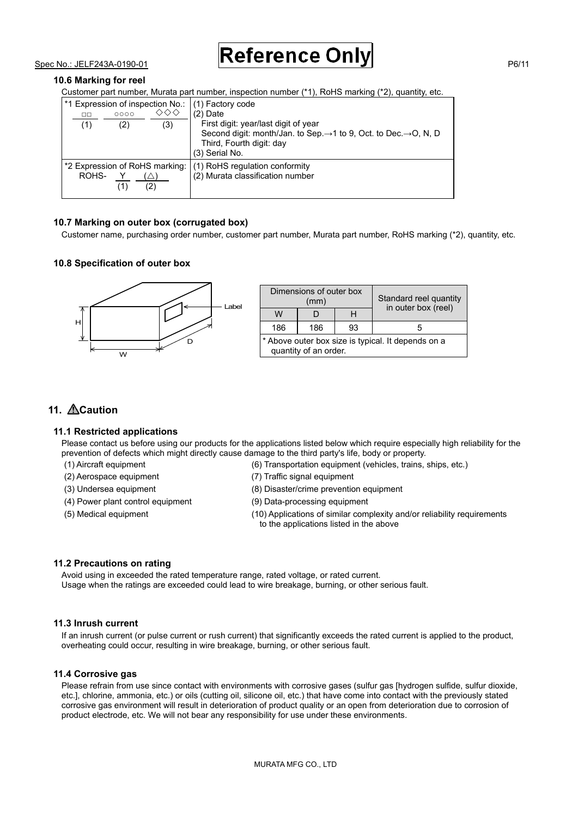# **10.6 Marking for reel**

Customer part number, Murata part number, inspection number (\*1), RoHS marking (\*2), quantity, etc.

| $\Box$<br>(1)                                                                 | 0000<br>(2) | 1*1 Expression of inspection No.:<br>◇◇◇<br>(3) | (1) Factory code<br>$(2)$ Date<br>First digit: year/last digit of year<br>Second digit: month/Jan. to Sep. $\rightarrow$ 1 to 9, Oct. to Dec. $\rightarrow$ O, N, D<br>Third, Fourth digit: day<br>(3) Serial No. |
|-------------------------------------------------------------------------------|-------------|-------------------------------------------------|-------------------------------------------------------------------------------------------------------------------------------------------------------------------------------------------------------------------|
| *2 Expression of RoHS marking: (1) RoHS regulation conformity<br>ROHS-<br>(2) |             |                                                 | (2) Murata classification number                                                                                                                                                                                  |

#### **10.7 Marking on outer box (corrugated box)**

Customer name, purchasing order number, customer part number, Murata part number, RoHS marking (\*2), quantity, etc.

#### **10.8 Specification of outer box**



|                                                                             | Dimensions of outer box<br>(mm) | Standard reel quantity |                     |  |
|-----------------------------------------------------------------------------|---------------------------------|------------------------|---------------------|--|
| W                                                                           |                                 | Н                      | in outer box (reel) |  |
| 186                                                                         | 186                             | 93                     | ٠h                  |  |
| * Above outer box size is typical. It depends on a<br>quantity of an order. |                                 |                        |                     |  |

# 11. **ACaution**

#### **11.1 Restricted applications**

Please contact us before using our products for the applications listed below which require especially high reliability for the prevention of defects which might directly cause damage to the third party's life, body or property.

- 
- (2) Aerospace equipment (7) Traffic signal equipment
- 
- (4) Power plant control equipment (9) Data-processing equipment
- 
- (1) Aircraft equipment (6) Transportation equipment (vehicles, trains, ships, etc.)
	-
- (3) Undersea equipment (8) Disaster/crime prevention equipment
	-
- (5) Medical equipment (10) Applications of similar complexity and/or reliability requirements to the applications listed in the above

#### **11.2 Precautions on rating**

Avoid using in exceeded the rated temperature range, rated voltage, or rated current. Usage when the ratings are exceeded could lead to wire breakage, burning, or other serious fault.

#### **11.3 Inrush current**

If an inrush current (or pulse current or rush current) that significantly exceeds the rated current is applied to the product, overheating could occur, resulting in wire breakage, burning, or other serious fault.

#### **11.4 Corrosive gas**

Please refrain from use since contact with environments with corrosive gases (sulfur gas [hydrogen sulfide, sulfur dioxide, etc.], chlorine, ammonia, etc.) or oils (cutting oil, silicone oil, etc.) that have come into contact with the previously stated corrosive gas environment will result in deterioration of product quality or an open from deterioration due to corrosion of product electrode, etc. We will not bear any responsibility for use under these environments.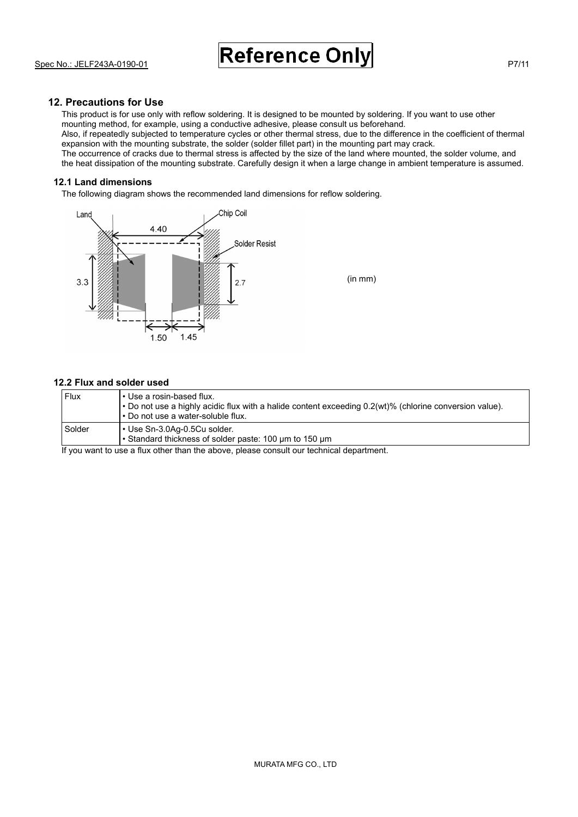# **12. Precautions for Use**

This product is for use only with reflow soldering. It is designed to be mounted by soldering. If you want to use other mounting method, for example, using a conductive adhesive, please consult us beforehand. Also, if repeatedly subjected to temperature cycles or other thermal stress, due to the difference in the coefficient of thermal expansion with the mounting substrate, the solder (solder fillet part) in the mounting part may crack. The occurrence of cracks due to thermal stress is affected by the size of the land where mounted, the solder volume, and the heat dissipation of the mounting substrate. Carefully design it when a large change in ambient temperature is assumed.

#### **12.1 Land dimensions**

The following diagram shows the recommended land dimensions for reflow soldering.



#### **12.2 Flux and solder used**

| Flux   | l • Use a rosin-based flux.<br>$\cdot$ Do not use a highly acidic flux with a halide content exceeding 0.2(wt)% (chlorine conversion value).<br>. Do not use a water-soluble flux. |
|--------|------------------------------------------------------------------------------------------------------------------------------------------------------------------------------------|
| Solder | • Use Sn-3.0Aq-0.5Cu solder.<br>• Standard thickness of solder paste: 100 um to 150 um                                                                                             |

If you want to use a flux other than the above, please consult our technical department.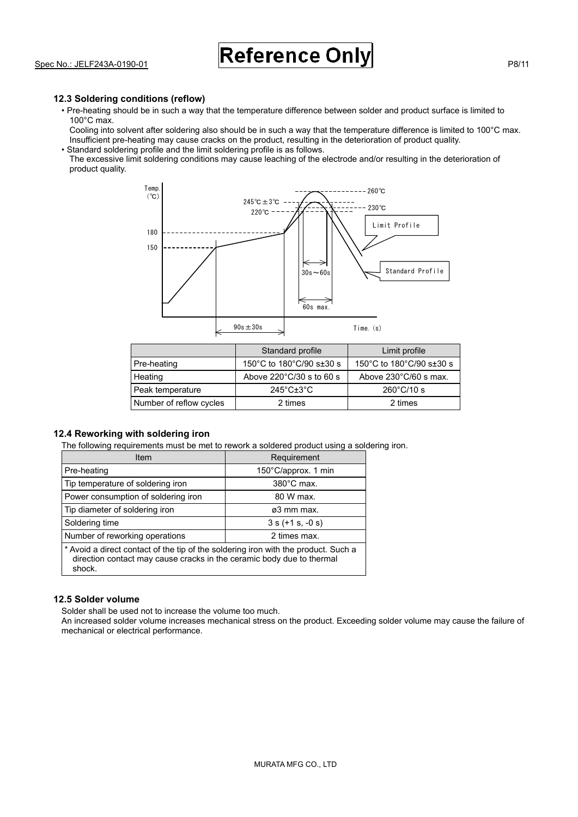## **12.3 Soldering conditions (reflow)**

- Pre-heating should be in such a way that the temperature difference between solder and product surface is limited to 100°C max.
- Cooling into solvent after soldering also should be in such a way that the temperature difference is limited to 100°C max. Insufficient pre-heating may cause cracks on the product, resulting in the deterioration of product quality. • Standard soldering profile and the limit soldering profile is as follows.
- The excessive limit soldering conditions may cause leaching of the electrode and/or resulting in the deterioration of product quality.



|                         | Standard profile                  | Limit profile                   |
|-------------------------|-----------------------------------|---------------------------------|
| Pre-heating             | 150°C to 180°C/90 s±30 s          | 150°C to 180°C/90 s±30 s        |
| Heating                 | Above 220°C/30 s to 60 s          | Above $230^{\circ}$ C/60 s max. |
| Peak temperature        | $245^{\circ}$ C $\pm 3^{\circ}$ C | $260^{\circ}$ C/10 s            |
| Number of reflow cycles | 2 times                           | 2 times                         |

## **12.4 Reworking with soldering iron**

The following requirements must be met to rework a soldered product using a soldering iron.

| Item                                                                                                                                                                  | Requirement          |  |
|-----------------------------------------------------------------------------------------------------------------------------------------------------------------------|----------------------|--|
| Pre-heating                                                                                                                                                           | 150°C/approx. 1 min  |  |
| Tip temperature of soldering iron                                                                                                                                     | $380^{\circ}$ C max. |  |
| Power consumption of soldering iron                                                                                                                                   | 80 W max.            |  |
| Tip diameter of soldering iron                                                                                                                                        | ø3 mm max.           |  |
| Soldering time                                                                                                                                                        | $3 s (+1 s, -0 s)$   |  |
| Number of reworking operations                                                                                                                                        | 2 times max.         |  |
| * Avoid a direct contact of the tip of the soldering iron with the product. Such a<br>direction contact may cause cracks in the ceramic body due to thermal<br>shock. |                      |  |

# **12.5 Solder volume**

Solder shall be used not to increase the volume too much.

An increased solder volume increases mechanical stress on the product. Exceeding solder volume may cause the failure of mechanical or electrical performance.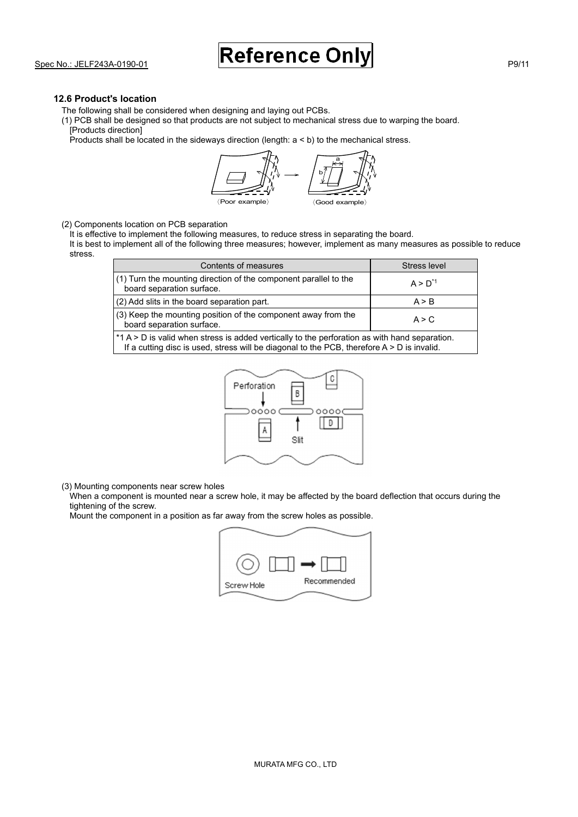#### **12.6 Product's location**

The following shall be considered when designing and laying out PCBs.

(1) PCB shall be designed so that products are not subject to mechanical stress due to warping the board. [Products direction]

Products shall be located in the sideways direction (length: a < b) to the mechanical stress.

〈Poor example〉 〈Good example〉 b a

#### (2) Components location on PCB separation

It is effective to implement the following measures, to reduce stress in separating the board.

It is best to implement all of the following three measures; however, implement as many measures as possible to reduce stress.

| Contents of measures                                                                                                                                                                          | Stress level |  |
|-----------------------------------------------------------------------------------------------------------------------------------------------------------------------------------------------|--------------|--|
| (1) Turn the mounting direction of the component parallel to the<br>board separation surface.                                                                                                 | $A > D^{1}$  |  |
| (2) Add slits in the board separation part.                                                                                                                                                   | A > B        |  |
| (3) Keep the mounting position of the component away from the<br>board separation surface.                                                                                                    | A > C        |  |
| *1 A > D is valid when stress is added vertically to the perforation as with hand separation.<br>If a cutting disc is used, stress will be diagonal to the PCB, therefore $A > D$ is invalid. |              |  |



(3) Mounting components near screw holes

When a component is mounted near a screw hole, it may be affected by the board deflection that occurs during the tightening of the screw.

Mount the component in a position as far away from the screw holes as possible.

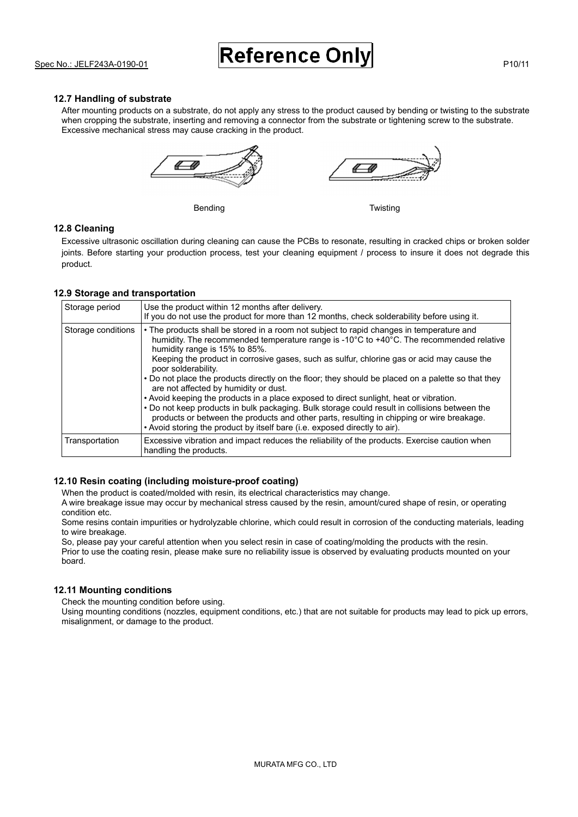#### **12.7 Handling of substrate**

After mounting products on a substrate, do not apply any stress to the product caused by bending or twisting to the substrate when cropping the substrate, inserting and removing a connector from the substrate or tightening screw to the substrate. Excessive mechanical stress may cause cracking in the product.



#### **12.8 Cleaning**

Excessive ultrasonic oscillation during cleaning can cause the PCBs to resonate, resulting in cracked chips or broken solder joints. Before starting your production process, test your cleaning equipment / process to insure it does not degrade this product.

#### **12.9 Storage and transportation**

| Storage period     | Use the product within 12 months after delivery.<br>If you do not use the product for more than 12 months, check solderability before using it.                                                                                                                                                                                                                                                                                                                                                                                                                                                                                                                                                                                                                                                                                                                |
|--------------------|----------------------------------------------------------------------------------------------------------------------------------------------------------------------------------------------------------------------------------------------------------------------------------------------------------------------------------------------------------------------------------------------------------------------------------------------------------------------------------------------------------------------------------------------------------------------------------------------------------------------------------------------------------------------------------------------------------------------------------------------------------------------------------------------------------------------------------------------------------------|
| Storage conditions | • The products shall be stored in a room not subject to rapid changes in temperature and<br>humidity. The recommended temperature range is -10°C to +40°C. The recommended relative<br>humidity range is 15% to 85%.<br>Keeping the product in corrosive gases, such as sulfur, chlorine gas or acid may cause the<br>poor solderability.<br>• Do not place the products directly on the floor; they should be placed on a palette so that they<br>are not affected by humidity or dust.<br>• Avoid keeping the products in a place exposed to direct sunlight, heat or vibration.<br>• Do not keep products in bulk packaging. Bulk storage could result in collisions between the<br>products or between the products and other parts, resulting in chipping or wire breakage.<br>• Avoid storing the product by itself bare (i.e. exposed directly to air). |
| Transportation     | Excessive vibration and impact reduces the reliability of the products. Exercise caution when<br>handling the products.                                                                                                                                                                                                                                                                                                                                                                                                                                                                                                                                                                                                                                                                                                                                        |

#### **12.10 Resin coating (including moisture-proof coating)**

When the product is coated/molded with resin, its electrical characteristics may change.

A wire breakage issue may occur by mechanical stress caused by the resin, amount/cured shape of resin, or operating condition etc.

Some resins contain impurities or hydrolyzable chlorine, which could result in corrosion of the conducting materials, leading to wire breakage.

So, please pay your careful attention when you select resin in case of coating/molding the products with the resin. Prior to use the coating resin, please make sure no reliability issue is observed by evaluating products mounted on your board.

#### **12.11 Mounting conditions**

Check the mounting condition before using.

Using mounting conditions (nozzles, equipment conditions, etc.) that are not suitable for products may lead to pick up errors, misalignment, or damage to the product.